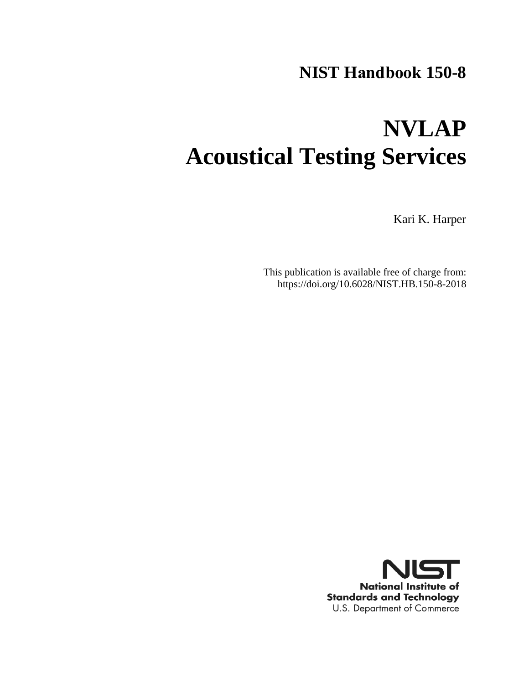# **NIST Handbook 150-8**

# **NVLAP Acoustical Testing Services**

Kari K. Harper

This publication is available free of charge from: https://doi.org/10.6028/NIST.HB.150-8-2018

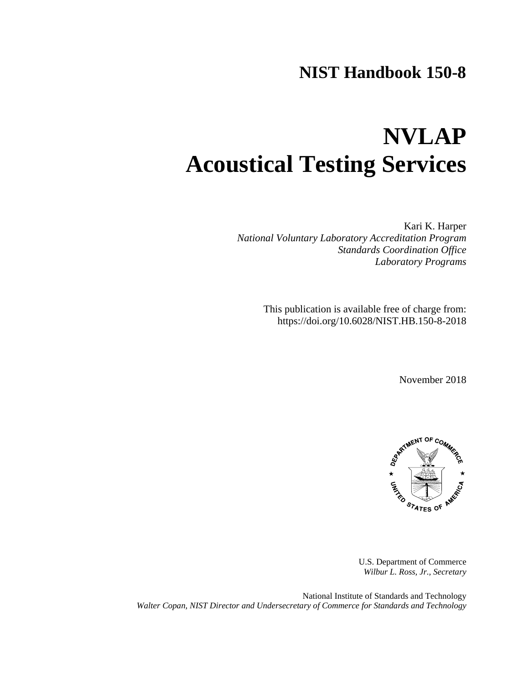## **NIST Handbook 150-8**

# **NVLAP Acoustical Testing Services**

Kari K. Harper *National Voluntary Laboratory Accreditation Program Standards Coordination Office Laboratory Programs*

> This publication is available free of charge from: https://doi.org/10.6028/NIST.HB.150-8-2018

> > November 2018



U.S. Department of Commerce *Wilbur L. Ross, Jr., Secretary*

National Institute of Standards and Technology *Walter Copan, NIST Director and Undersecretary of Commerce for Standards and Technology*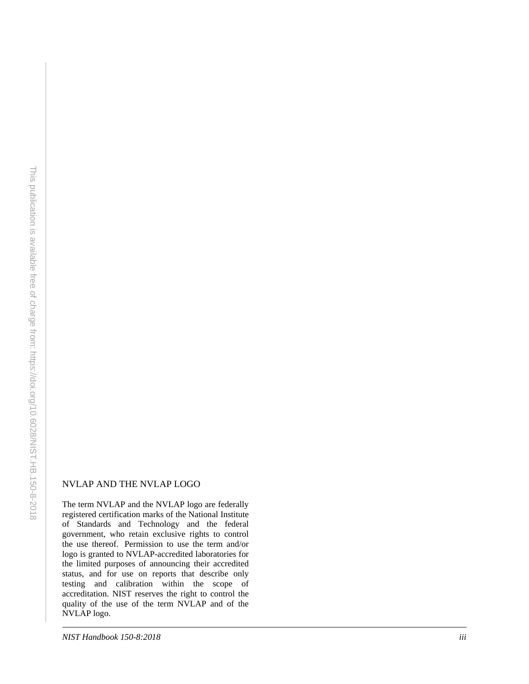#### NVLAP AND THE NVLAP LOGO

The term NVLAP and the NVLAP logo are federally registered certification marks of the National Institute of Standards and Technology and the federal government, who retain exclusive rights to control the use thereof. Permission to use the term and/or logo is granted to NVLAP -accredited laboratories for the limited purposes of announcing their accredited status, and for use on reports that describe only testing and calibration within the scope of accreditation. NIST reserves the right to control the quality of the use of the term NVLAP and of the NVLAP logo.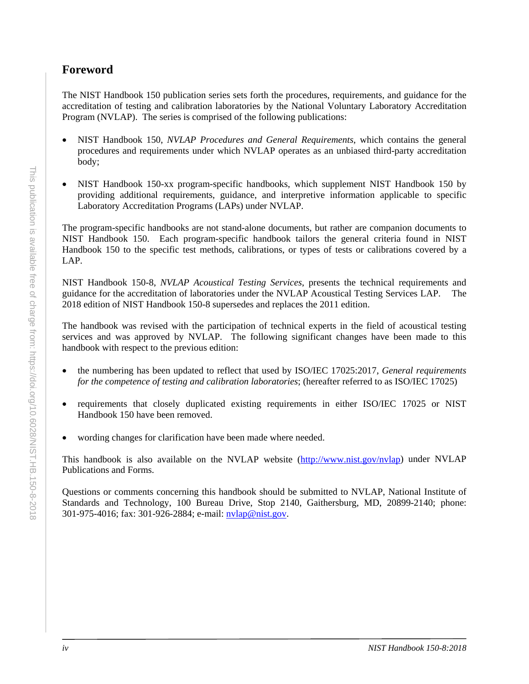## <span id="page-3-0"></span>**Foreword**

The NIST Handbook 150 publication series sets forth the procedures, requirements, and guidance for the accreditation of testing and calibration laboratories by the National Voluntary Laboratory Accreditation Program (NVLAP). The series is comprised of the following publications:

- NIST Handbook 150, *NVLAP Procedures and General Requirements*, which contains the general procedures and requirements under which NVLAP operates as an unbiased third-party accreditation body;
- NIST Handbook 150-xx program-specific handbooks, which supplement NIST Handbook 150 by providing additional requirements, guidance, and interpretive information applicable to specific Laboratory Accreditation Programs (LAPs) under NVLAP.

The program-specific handbooks are not stand-alone documents, but rather are companion documents to NIST Handbook 150. Each program-specific handbook tailors the general criteria found in NIST Handbook 150 to the specific test methods, calibrations, or types of tests or calibrations covered by a LAP.

NIST Handbook 150-8, *NVLAP Acoustical Testing Services*, presents the technical requirements and guidance for the accreditation of laboratories under the NVLAP Acoustical Testing Services LAP. The 2018 edition of NIST Handbook 150-8 supersedes and replaces the 2011 edition.

The handbook was revised with the participation of technical experts in the field of acoustical testing services and was approved by NVLAP. The following significant changes have been made to this handbook with respect to the previous edition:

- the numbering has been updated to reflect that used by ISO/IEC 17025:2017, *General requirements for the competence of testing and calibration laboratories*; (hereafter referred to as ISO/IEC 17025)
- requirements that closely duplicated existing requirements in either ISO/IEC 17025 or NIST Handbook 150 have been removed.
- wording changes for clarification have been made where needed.

This handbook is also available on the NVLAP website [\(http://www.nist.gov/nvlap\)](http://www.nist.gov/nvlap) under NVLAP Publications and Forms.

Questions or comments concerning this handbook should be submitted to NVLAP, National Institute of Standards and Technology, 100 Bureau Drive, Stop 2140, Gaithersburg, MD, 20899-2140; phone: 301-975-4016; fax: 301-926-2884; e-mail: [nvlap@nist.gov.](mailto:nvlap@nist.gov)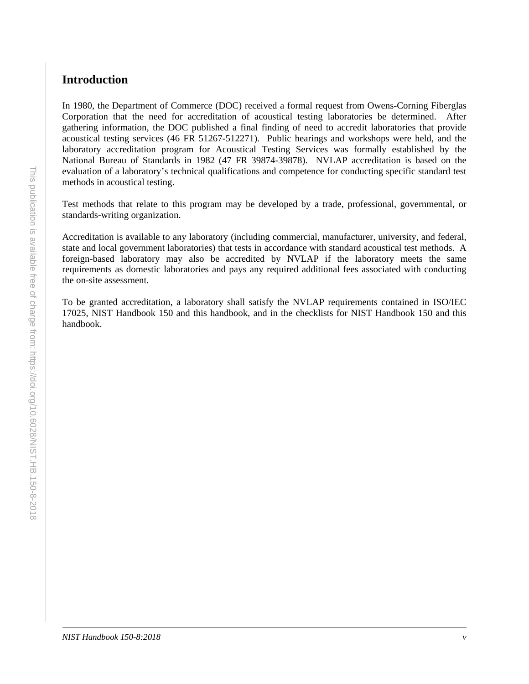## <span id="page-4-0"></span>**Introduction**

In 1980, the Department of Commerce (DOC) received a formal request from Owens-Corning Fiberglas Corporation that the need for accreditation of acoustical testing laboratories be determined. After gathering information, the DOC published a final finding of need to accredit laboratories that provide acoustical testing services (46 FR 51267-512271). Public hearings and workshops were held, and the laboratory accreditation program for Acoustical Testing Services was formally established by the National Bureau of Standards in 1982 (47 FR 39874-39878). NVLAP accreditation is based on the evaluation of a laboratory's technical qualifications and competence for conducting specific standard test methods in acoustical testing.

Test methods that relate to this program may be developed by a trade, professional, governmental, or standards-writing organization.

Accreditation is available to any laboratory (including commercial, manufacturer, university, and federal, state and local government laboratories) that tests in accordance with standard acoustical test methods. A foreign-based laboratory may also be accredited by NVLAP if the laboratory meets the same requirements as domestic laboratories and pays any required additional fees associated with conducting the on-site assessment.

To be granted accreditation, a laboratory shall satisfy the NVLAP requirements contained in ISO/IEC 17025, NIST Handbook 150 and this handbook, and in the checklists for NIST Handbook 150 and this handbook.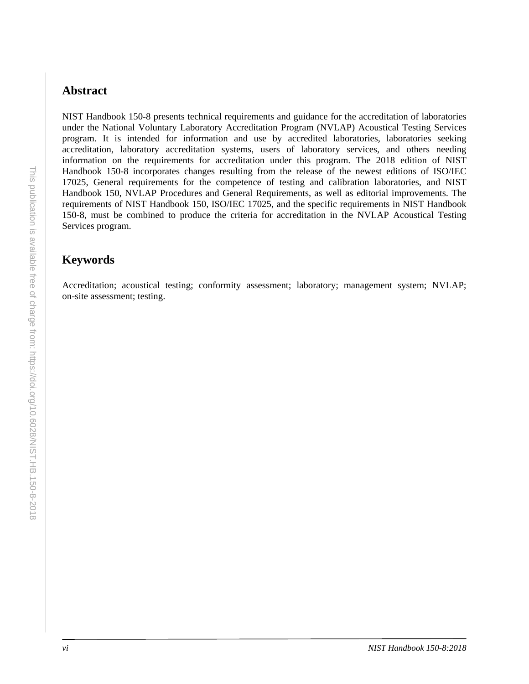## <span id="page-5-0"></span>**Abstract**

NIST Handbook 150-8 presents technical requirements and guidance for the accreditation of laboratories under the National Voluntary Laboratory Accreditation Program (NVLAP) Acoustical Testing Services program. It is intended for information and use by accredited laboratories, laboratories seeking accreditation, laboratory accreditation systems, users of laboratory services, and others needing information on the requirements for accreditation under this program. The 2018 edition of NIST Handbook 150-8 incorporates changes resulting from the release of the newest editions of ISO/IEC 17025, General requirements for the competence of testing and calibration laboratories, and NIST Handbook 150, NVLAP Procedures and General Requirements, as well as editorial improvements. The requirements of NIST Handbook 150, ISO/IEC 17025, and the specific requirements in NIST Handbook 150-8, must be combined to produce the criteria for accreditation in the NVLAP Acoustical Testing Services program.

## <span id="page-5-1"></span>**Keywords**

Accreditation; acoustical testing; conformity assessment; laboratory; management system; NVLAP; on-site assessment; testing.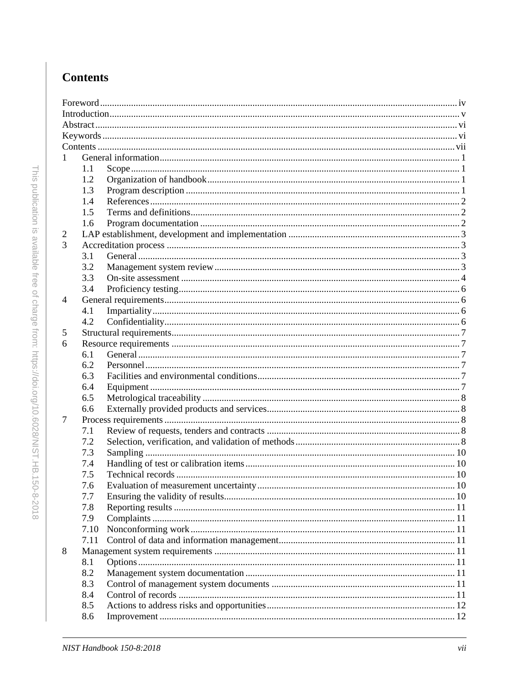## <span id="page-6-0"></span>**Contents**

| 1 |      |  |  |  |  |  |
|---|------|--|--|--|--|--|
|   | 1.1  |  |  |  |  |  |
|   | 1.2  |  |  |  |  |  |
|   | 1.3  |  |  |  |  |  |
|   | 1.4  |  |  |  |  |  |
|   | 1.5  |  |  |  |  |  |
|   | 1.6  |  |  |  |  |  |
| 2 |      |  |  |  |  |  |
| 3 |      |  |  |  |  |  |
|   | 3.1  |  |  |  |  |  |
|   | 3.2  |  |  |  |  |  |
|   | 3.3  |  |  |  |  |  |
|   | 3.4  |  |  |  |  |  |
| 4 |      |  |  |  |  |  |
|   | 4.1  |  |  |  |  |  |
|   | 4.2  |  |  |  |  |  |
| 5 |      |  |  |  |  |  |
| 6 |      |  |  |  |  |  |
|   | 6.1  |  |  |  |  |  |
|   | 6.2  |  |  |  |  |  |
|   | 6.3  |  |  |  |  |  |
|   | 6.4  |  |  |  |  |  |
|   | 6.5  |  |  |  |  |  |
|   | 6.6  |  |  |  |  |  |
| 7 |      |  |  |  |  |  |
|   | 7.1  |  |  |  |  |  |
|   | 7.2  |  |  |  |  |  |
|   | 7.3  |  |  |  |  |  |
|   | 7.4  |  |  |  |  |  |
|   | 7.5  |  |  |  |  |  |
|   | 7.6  |  |  |  |  |  |
|   | 7.7  |  |  |  |  |  |
|   | 7.8  |  |  |  |  |  |
|   | 7.9  |  |  |  |  |  |
|   | 7.10 |  |  |  |  |  |
|   | 7.11 |  |  |  |  |  |
| 8 |      |  |  |  |  |  |
|   | 8.1  |  |  |  |  |  |
|   | 8.2  |  |  |  |  |  |
|   | 8.3  |  |  |  |  |  |
|   | 8.4  |  |  |  |  |  |
|   | 8.5  |  |  |  |  |  |
|   | 8.6  |  |  |  |  |  |
|   |      |  |  |  |  |  |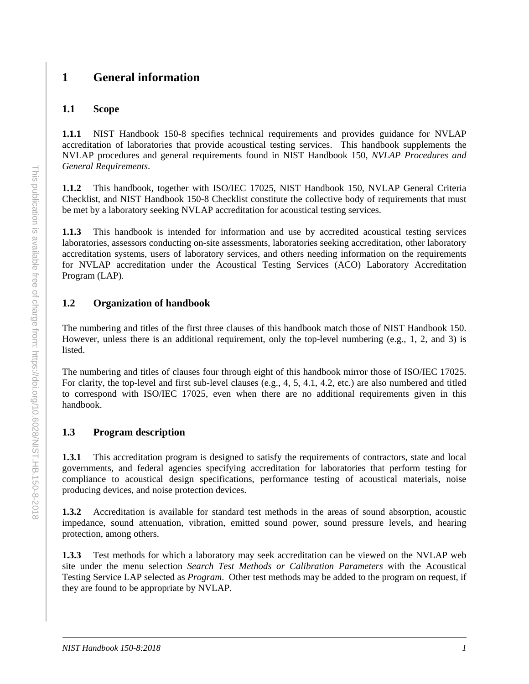## <span id="page-8-0"></span>**1 General information**

#### <span id="page-8-1"></span>**1.1 Scope**

**1.1.1** NIST Handbook 150-8 specifies technical requirements and provides guidance for NVLAP accreditation of laboratories that provide acoustical testing services. This handbook supplements the NVLAP procedures and general requirements found in NIST Handbook 150, *NVLAP Procedures and General Requirements*.

**1.1.2** This handbook, together with ISO/IEC 17025, NIST Handbook 150, NVLAP General Criteria Checklist, and NIST Handbook 150-8 Checklist constitute the collective body of requirements that must be met by a laboratory seeking NVLAP accreditation for acoustical testing services.

**1.1.3** This handbook is intended for information and use by accredited acoustical testing services laboratories, assessors conducting on-site assessments, laboratories seeking accreditation, other laboratory accreditation systems, users of laboratory services, and others needing information on the requirements for NVLAP accreditation under the Acoustical Testing Services (ACO) Laboratory Accreditation Program (LAP).

## <span id="page-8-2"></span>**1.2 Organization of handbook**

The numbering and titles of the first three clauses of this handbook match those of NIST Handbook 150. However, unless there is an additional requirement, only the top-level numbering (e.g., 1, 2, and 3) is listed.

The numbering and titles of clauses four through eight of this handbook mirror those of ISO/IEC 17025. For clarity, the top-level and first sub-level clauses (e.g., 4, 5, 4.1, 4.2, etc.) are also numbered and titled to correspond with ISO/IEC 17025, even when there are no additional requirements given in this handbook.

## <span id="page-8-3"></span>**1.3 Program description**

**1.3.1** This accreditation program is designed to satisfy the requirements of contractors, state and local governments, and federal agencies specifying accreditation for laboratories that perform testing for compliance to acoustical design specifications, performance testing of acoustical materials, noise producing devices, and noise protection devices.

**1.3.2** Accreditation is available for standard test methods in the areas of sound absorption, acoustic impedance, sound attenuation, vibration, emitted sound power, sound pressure levels, and hearing protection, among others.

**1.3.3** Test methods for which a laboratory may seek accreditation can be viewed on the NVLAP web site under the menu selection *Search Test Methods or Calibration Parameters* with the Acoustical Testing Service LAP selected as *Program*. Other test methods may be added to the program on request, if they are found to be appropriate by NVLAP.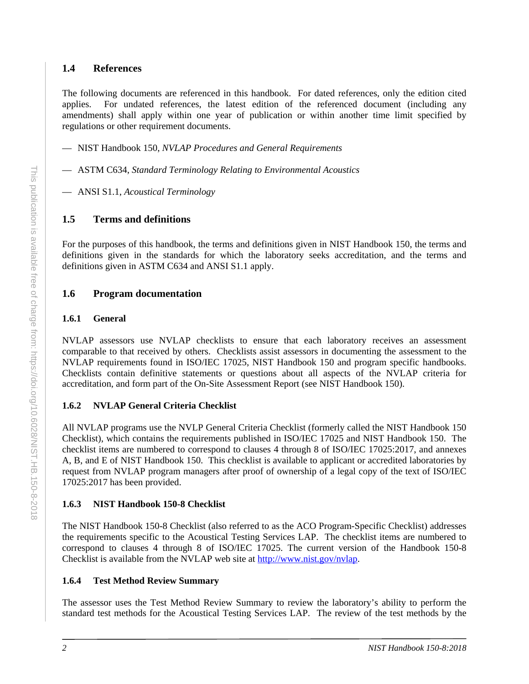#### <span id="page-9-0"></span>**1.4 References**

The following documents are referenced in this handbook. For dated references, only the edition cited applies. For undated references, the latest edition of the referenced document (including any amendments) shall apply within one year of publication or within another time limit specified by regulations or other requirement documents.

- NIST Handbook 150, *NVLAP Procedures and General Requirements*
- ASTM C634, *Standard Terminology Relating to Environmental Acoustics*
- ANSI S1.1, *Acoustical Terminology*

## <span id="page-9-1"></span>**1.5 Terms and definitions**

For the purposes of this handbook, the terms and definitions given in NIST Handbook 150, the terms and definitions given in the standards for which the laboratory seeks accreditation, and the terms and definitions given in ASTM C634 and ANSI S1.1 apply.

## <span id="page-9-2"></span>**1.6 Program documentation**

#### **1.6.1 General**

NVLAP assessors use NVLAP checklists to ensure that each laboratory receives an assessment comparable to that received by others. Checklists assist assessors in documenting the assessment to the NVLAP requirements found in ISO/IEC 17025, NIST Handbook 150 and program specific handbooks. Checklists contain definitive statements or questions about all aspects of the NVLAP criteria for accreditation, and form part of the On-Site Assessment Report (see NIST Handbook 150).

## **1.6.2 NVLAP General Criteria Checklist**

All NVLAP programs use the NVLP General Criteria Checklist (formerly called the NIST Handbook 150 Checklist), which contains the requirements published in ISO/IEC 17025 and NIST Handbook 150. The checklist items are numbered to correspond to clauses 4 through 8 of ISO/IEC 17025:2017, and annexes A, B, and E of NIST Handbook 150. This checklist is available to applicant or accredited laboratories by request from NVLAP program managers after proof of ownership of a legal copy of the text of ISO/IEC 17025:2017 has been provided.

## **1.6.3 NIST Handbook 150-8 Checklist**

The NIST Handbook 150-8 Checklist (also referred to as the ACO Program-Specific Checklist) addresses the requirements specific to the Acoustical Testing Services LAP. The checklist items are numbered to correspond to clauses 4 through 8 of ISO/IEC 17025. The current version of the Handbook 150-8 Checklist is available from the NVLAP web site at [http://www.nist.gov/nvlap.](http://www.nist.gov/nvlap)

## **1.6.4 Test Method Review Summary**

The assessor uses the Test Method Review Summary to review the laboratory's ability to perform the standard test methods for the Acoustical Testing Services LAP. The review of the test methods by the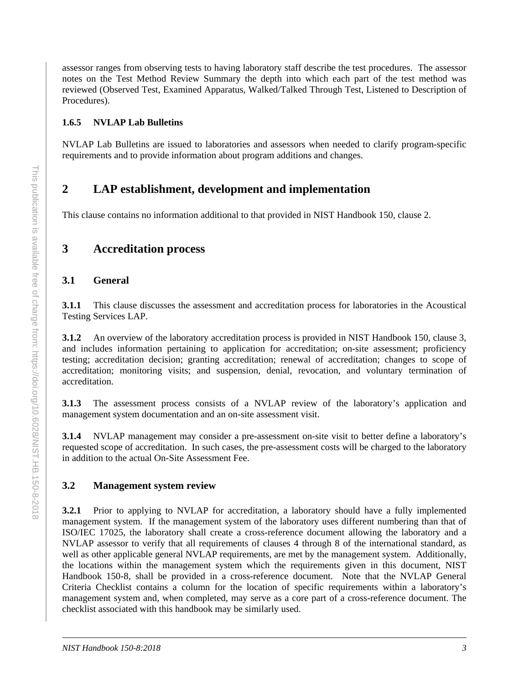assessor ranges from observing tests to having laboratory staff describe the test procedures. The assessor notes on the Test Method Review Summary the depth into which each part of the test method was reviewed (Observed Test, Examined Apparatus, Walked/Talked Through Test, Listened to Description of Procedures).

#### **1.6.5 NVLAP Lab Bulletins**

NVLAP Lab Bulletins are issued to laboratories and assessors when needed to clarify program-specific requirements and to provide information about program additions and changes.

## <span id="page-10-0"></span>**2 LAP establishment, development and implementation**

This clause contains no information additional to that provided in NIST Handbook 150, clause 2.

## <span id="page-10-1"></span>**3 Accreditation process**

#### <span id="page-10-2"></span>**3.1 General**

**3.1.1** This clause discusses the assessment and accreditation process for laboratories in the Acoustical Testing Services LAP.

**3.1.2** An overview of the laboratory accreditation process is provided in NIST Handbook 150, clause 3, and includes information pertaining to application for accreditation; on-site assessment; proficiency testing; accreditation decision; granting accreditation; renewal of accreditation; changes to scope of accreditation; monitoring visits; and suspension, denial, revocation, and voluntary termination of accreditation.

**3.1.3** The assessment process consists of a NVLAP review of the laboratory's application and management system documentation and an on-site assessment visit.

**3.1.4** NVLAP management may consider a pre-assessment on-site visit to better define a laboratory's requested scope of accreditation. In such cases, the pre-assessment costs will be charged to the laboratory in addition to the actual On-Site Assessment Fee.

#### <span id="page-10-3"></span>**3.2 Management system review**

**3.2.1** Prior to applying to NVLAP for accreditation, a laboratory should have a fully implemented management system. If the management system of the laboratory uses different numbering than that of ISO/IEC 17025, the laboratory shall create a cross-reference document allowing the laboratory and a NVLAP assessor to verify that all requirements of clauses 4 through 8 of the international standard, as well as other applicable general NVLAP requirements, are met by the management system. Additionally, the locations within the management system which the requirements given in this document, NIST Handbook 150-8, shall be provided in a cross-reference document. Note that the NVLAP General Criteria Checklist contains a column for the location of specific requirements within a laboratory's management system and, when completed, may serve as a core part of a cross-reference document. The checklist associated with this handbook may be similarly used.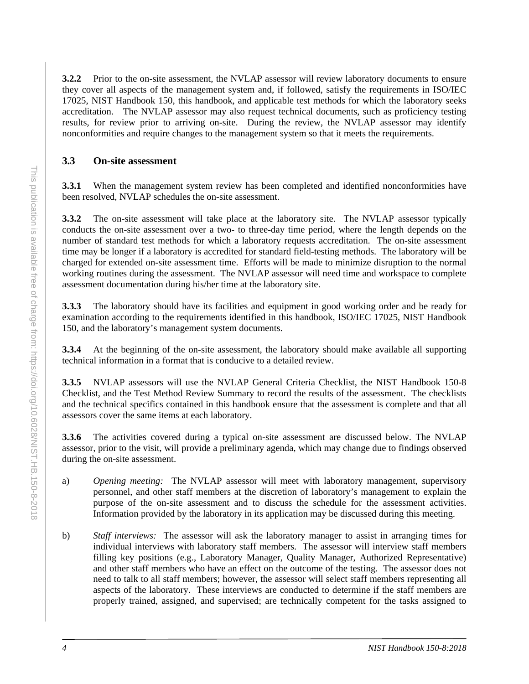**3.2.2** Prior to the on-site assessment, the NVLAP assessor will review laboratory documents to ensure they cover all aspects of the management system and, if followed, satisfy the requirements in ISO/IEC 17025, NIST Handbook 150, this handbook, and applicable test methods for which the laboratory seeks accreditation. The NVLAP assessor may also request technical documents, such as proficiency testing results, for review prior to arriving on-site. During the review, the NVLAP assessor may identify nonconformities and require changes to the management system so that it meets the requirements.

## <span id="page-11-0"></span>**3.3 On-site assessment**

**3.3.1** When the management system review has been completed and identified nonconformities have been resolved, NVLAP schedules the on-site assessment.

**3.3.2** The on-site assessment will take place at the laboratory site. The NVLAP assessor typically conducts the on-site assessment over a two- to three-day time period, where the length depends on the number of standard test methods for which a laboratory requests accreditation. The on-site assessment time may be longer if a laboratory is accredited for standard field-testing methods. The laboratory will be charged for extended on-site assessment time. Efforts will be made to minimize disruption to the normal working routines during the assessment. The NVLAP assessor will need time and workspace to complete assessment documentation during his/her time at the laboratory site.

**3.3.3** The laboratory should have its facilities and equipment in good working order and be ready for examination according to the requirements identified in this handbook, ISO/IEC 17025, NIST Handbook 150, and the laboratory's management system documents.

**3.3.4** At the beginning of the on-site assessment, the laboratory should make available all supporting technical information in a format that is conducive to a detailed review.

**3.3.5** NVLAP assessors will use the NVLAP General Criteria Checklist, the NIST Handbook 150-8 Checklist, and the Test Method Review Summary to record the results of the assessment. The checklists and the technical specifics contained in this handbook ensure that the assessment is complete and that all assessors cover the same items at each laboratory.

**3.3.6** The activities covered during a typical on-site assessment are discussed below. The NVLAP assessor, prior to the visit, will provide a preliminary agenda, which may change due to findings observed during the on-site assessment.

- a) *Opening meeting:* The NVLAP assessor will meet with laboratory management, supervisory personnel, and other staff members at the discretion of laboratory's management to explain the purpose of the on-site assessment and to discuss the schedule for the assessment activities. Information provided by the laboratory in its application may be discussed during this meeting.
- b) *Staff interviews:* The assessor will ask the laboratory manager to assist in arranging times for individual interviews with laboratory staff members. The assessor will interview staff members filling key positions (e.g., Laboratory Manager, Quality Manager, Authorized Representative) and other staff members who have an effect on the outcome of the testing. The assessor does not need to talk to all staff members; however, the assessor will select staff members representing all aspects of the laboratory. These interviews are conducted to determine if the staff members are properly trained, assigned, and supervised; are technically competent for the tasks assigned to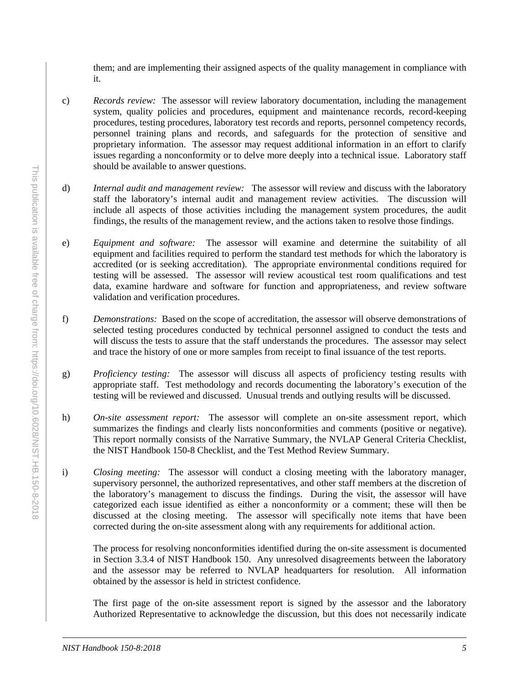them; and are implementing their assigned aspects of the quality management in compliance with it.

- c) *Records review:* The assessor will review laboratory documentation, including the management system, quality policies and procedures, equipment and maintenance records, record-keeping procedures, testing procedures, laboratory test records and reports, personnel competency records, personnel training plans and records, and safeguards for the protection of sensitive and proprietary information. The assessor may request additional information in an effort to clarify issues regarding a nonconformity or to delve more deeply into a technical issue. Laboratory staff should be available to answer questions.
- d) *Internal audit and management review:* The assessor will review and discuss with the laboratory staff the laboratory's internal audit and management review activities. The discussion will include all aspects of those activities including the management system procedures, the audit findings, the results of the management review, and the actions taken to resolve those findings.
- e) *Equipment and software:*The assessor will examine and determine the suitability of all equipment and facilities required to perform the standard test methods for which the laboratory is accredited (or is seeking accreditation). The appropriate environmental conditions required for testing will be assessed. The assessor will review acoustical test room qualifications and test data, examine hardware and software for function and appropriateness, and review software validation and verification procedures.
- f) *Demonstrations:* Based on the scope of accreditation, the assessor will observe demonstrations of selected testing procedures conducted by technical personnel assigned to conduct the tests and will discuss the tests to assure that the staff understands the procedures. The assessor may select and trace the history of one or more samples from receipt to final issuance of the test reports.
- g) *Proficiency testing:* The assessor will discuss all aspects of proficiency testing results with appropriate staff. Test methodology and records documenting the laboratory's execution of the testing will be reviewed and discussed. Unusual trends and outlying results will be discussed.
- h) *On-site assessment report:* The assessor will complete an on-site assessment report, which summarizes the findings and clearly lists nonconformities and comments (positive or negative). This report normally consists of the Narrative Summary, the NVLAP General Criteria Checklist, the NIST Handbook 150-8 Checklist, and the Test Method Review Summary.
- i) *Closing meeting:* The assessor will conduct a closing meeting with the laboratory manager, supervisory personnel, the authorized representatives, and other staff members at the discretion of the laboratory's management to discuss the findings. During the visit, the assessor will have categorized each issue identified as either a nonconformity or a comment; these will then be discussed at the closing meeting. The assessor will specifically note items that have been corrected during the on-site assessment along with any requirements for additional action.

The process for resolving nonconformities identified during the on-site assessment is documented in Section 3.3.4 of NIST Handbook 150. Any unresolved disagreements between the laboratory and the assessor may be referred to NVLAP headquarters for resolution. All information obtained by the assessor is held in strictest confidence.

The first page of the on-site assessment report is signed by the assessor and the laboratory Authorized Representative to acknowledge the discussion, but this does not necessarily indicate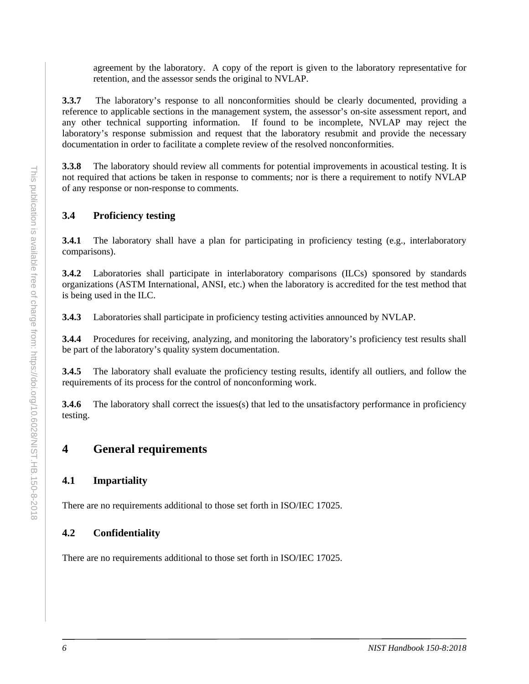agreement by the laboratory. A copy of the report is given to the laboratory representative for retention, and the assessor sends the original to NVLAP.

**3.3.7** The laboratory's response to all nonconformities should be clearly documented, providing a reference to applicable sections in the management system, the assessor's on-site assessment report, and any other technical supporting information. If found to be incomplete, NVLAP may reject the laboratory's response submission and request that the laboratory resubmit and provide the necessary documentation in order to facilitate a complete review of the resolved nonconformities.

**3.3.8** The laboratory should review all comments for potential improvements in acoustical testing. It is not required that actions be taken in response to comments; nor is there a requirement to notify NVLAP of any response or non-response to comments.

## <span id="page-13-0"></span>**3.4 Proficiency testing**

**3.4.1** The laboratory shall have a plan for participating in proficiency testing (e.g., interlaboratory comparisons).

**3.4.2** Laboratories shall participate in interlaboratory comparisons (ILCs) sponsored by standards organizations (ASTM International, ANSI, etc.) when the laboratory is accredited for the test method that is being used in the ILC.

**3.4.3** Laboratories shall participate in proficiency testing activities announced by NVLAP.

**3.4.4** Procedures for receiving, analyzing, and monitoring the laboratory's proficiency test results shall be part of the laboratory's quality system documentation.

**3.4.5** The laboratory shall evaluate the proficiency testing results, identify all outliers, and follow the requirements of its process for the control of nonconforming work.

**3.4.6** The laboratory shall correct the issues(s) that led to the unsatisfactory performance in proficiency testing.

## <span id="page-13-1"></span>**4 General requirements**

## <span id="page-13-2"></span>**4.1 Impartiality**

There are no requirements additional to those set forth in ISO/IEC 17025.

## <span id="page-13-3"></span>**4.2 Confidentiality**

There are no requirements additional to those set forth in ISO/IEC 17025.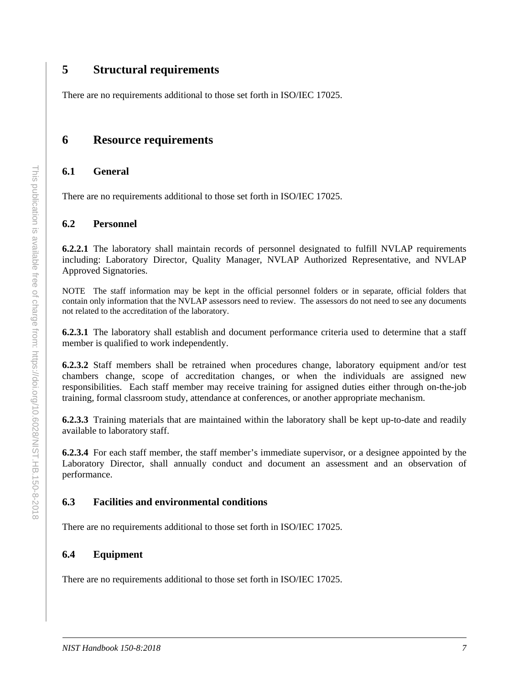## <span id="page-14-0"></span>**5 Structural requirements**

There are no requirements additional to those set forth in ISO/IEC 17025.

## <span id="page-14-1"></span>**6 Resource requirements**

#### <span id="page-14-2"></span>**6.1 General**

There are no requirements additional to those set forth in ISO/IEC 17025.

#### <span id="page-14-3"></span>**6.2 Personnel**

**6.2.2.1** The laboratory shall maintain records of personnel designated to fulfill NVLAP requirements including: Laboratory Director, Quality Manager, NVLAP Authorized Representative, and NVLAP Approved Signatories.

NOTE The staff information may be kept in the official personnel folders or in separate, official folders that contain only information that the NVLAP assessors need to review. The assessors do not need to see any documents not related to the accreditation of the laboratory.

**6.2.3.1** The laboratory shall establish and document performance criteria used to determine that a staff member is qualified to work independently.

**6.2.3.2** Staff members shall be retrained when procedures change, laboratory equipment and/or test chambers change, scope of accreditation changes, or when the individuals are assigned new responsibilities. Each staff member may receive training for assigned duties either through on-the-job training, formal classroom study, attendance at conferences, or another appropriate mechanism.

**6.2.3.3** Training materials that are maintained within the laboratory shall be kept up-to-date and readily available to laboratory staff.

**6.2.3.4** For each staff member, the staff member's immediate supervisor, or a designee appointed by the Laboratory Director, shall annually conduct and document an assessment and an observation of performance.

#### <span id="page-14-4"></span>**6.3 Facilities and environmental conditions**

There are no requirements additional to those set forth in ISO/IEC 17025.

#### <span id="page-14-5"></span>**6.4 Equipment**

There are no requirements additional to those set forth in ISO/IEC 17025.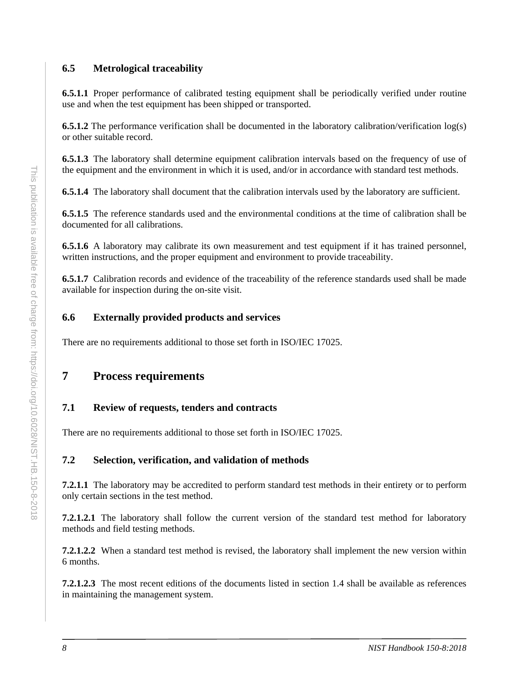## <span id="page-15-0"></span>**6.5 Metrological traceability**

**6.5.1.1** Proper performance of calibrated testing equipment shall be periodically verified under routine use and when the test equipment has been shipped or transported.

**6.5.1.2** The performance verification shall be documented in the laboratory calibration/verification log(s) or other suitable record.

**6.5.1.3** The laboratory shall determine equipment calibration intervals based on the frequency of use of the equipment and the environment in which it is used, and/or in accordance with standard test methods.

**6.5.1.4** The laboratory shall document that the calibration intervals used by the laboratory are sufficient.

**6.5.1.5** The reference standards used and the environmental conditions at the time of calibration shall be documented for all calibrations.

**6.5.1.6** A laboratory may calibrate its own measurement and test equipment if it has trained personnel, written instructions, and the proper equipment and environment to provide traceability.

**6.5.1.7** Calibration records and evidence of the traceability of the reference standards used shall be made available for inspection during the on-site visit.

## <span id="page-15-1"></span>**6.6 Externally provided products and services**

There are no requirements additional to those set forth in ISO/IEC 17025.

## <span id="page-15-2"></span>**7 Process requirements**

## <span id="page-15-3"></span>**7.1 Review of requests, tenders and contracts**

There are no requirements additional to those set forth in ISO/IEC 17025.

## <span id="page-15-4"></span>**7.2 Selection, verification, and validation of methods**

**7.2.1.1** The laboratory may be accredited to perform standard test methods in their entirety or to perform only certain sections in the test method.

**7.2.1.2.1** The laboratory shall follow the current version of the standard test method for laboratory methods and field testing methods.

**7.2.1.2.2** When a standard test method is revised, the laboratory shall implement the new version within 6 months.

**7.2.1.2.3** The most recent editions of the documents listed in section 1.4 shall be available as references in maintaining the management system.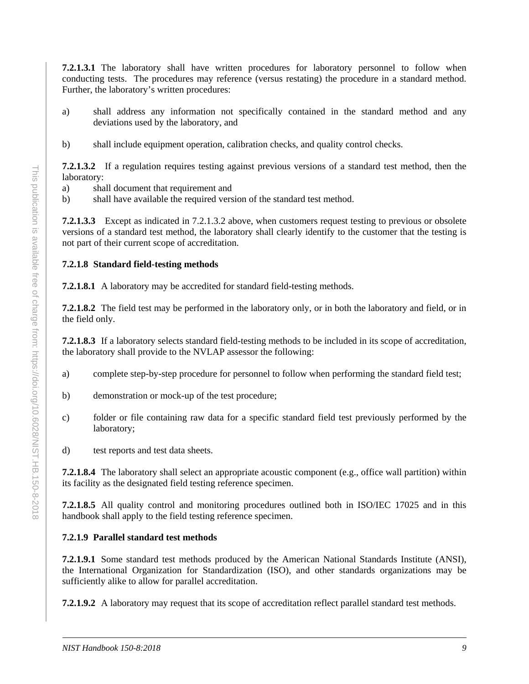**7.2.1.3.1** The laboratory shall have written procedures for laboratory personnel to follow when conducting tests. The procedures may reference (versus restating) the procedure in a standard method. Further, the laboratory's written procedures:

- a) shall address any information not specifically contained in the standard method and any deviations used by the laboratory, and
- b) shall include equipment operation, calibration checks, and quality control checks.

**7.2.1.3.2** If a regulation requires testing against previous versions of a standard test method, then the laboratory:

- a) shall document that requirement and
- b) shall have available the required version of the standard test method.

**7.2.1.3.3** Except as indicated in 7.2.1.3.2 above, when customers request testing to previous or obsolete versions of a standard test method, the laboratory shall clearly identify to the customer that the testing is not part of their current scope of accreditation.

#### **7.2.1.8 Standard field-testing methods**

**7.2.1.8.1** A laboratory may be accredited for standard field-testing methods.

**7.2.1.8.2** The field test may be performed in the laboratory only, or in both the laboratory and field, or in the field only.

**7.2.1.8.3** If a laboratory selects standard field-testing methods to be included in its scope of accreditation, the laboratory shall provide to the NVLAP assessor the following:

- a) complete step-by-step procedure for personnel to follow when performing the standard field test;
- b) demonstration or mock-up of the test procedure;
- c) folder or file containing raw data for a specific standard field test previously performed by the laboratory;
- d) test reports and test data sheets.

**7.2.1.8.4** The laboratory shall select an appropriate acoustic component (e.g., office wall partition) within its facility as the designated field testing reference specimen.

**7.2.1.8.5** All quality control and monitoring procedures outlined both in ISO/IEC 17025 and in this handbook shall apply to the field testing reference specimen.

## **7.2.1.9 Parallel standard test methods**

**7.2.1.9.1** Some standard test methods produced by the American National Standards Institute (ANSI), the International Organization for Standardization (ISO), and other standards organizations may be sufficiently alike to allow for parallel accreditation.

**7.2.1.9.2** A laboratory may request that its scope of accreditation reflect parallel standard test methods.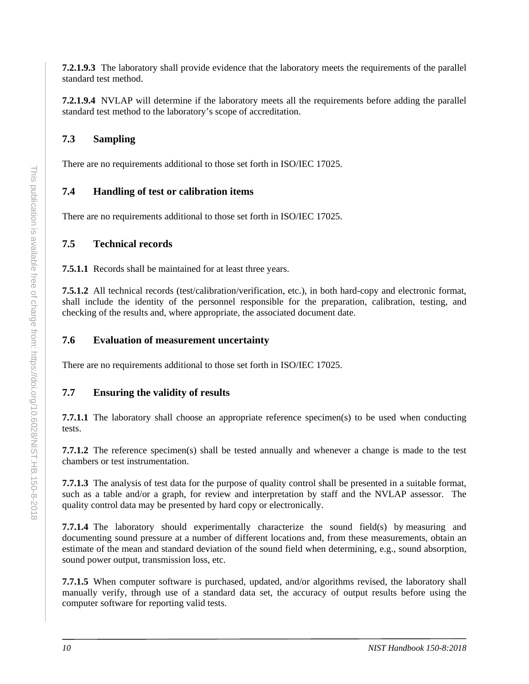**7.2.1.9.3** The laboratory shall provide evidence that the laboratory meets the requirements of the parallel standard test method.

**7.2.1.9.4** NVLAP will determine if the laboratory meets all the requirements before adding the parallel standard test method to the laboratory's scope of accreditation.

## <span id="page-17-0"></span>**7.3 Sampling**

There are no requirements additional to those set forth in ISO/IEC 17025.

## <span id="page-17-1"></span>**7.4 Handling of test or calibration items**

There are no requirements additional to those set forth in ISO/IEC 17025.

## <span id="page-17-2"></span>**7.5 Technical records**

**7.5.1.1** Records shall be maintained for at least three years.

**7.5.1.2** All technical records (test/calibration/verification, etc.), in both hard-copy and electronic format, shall include the identity of the personnel responsible for the preparation, calibration, testing, and checking of the results and, where appropriate, the associated document date.

## <span id="page-17-3"></span>**7.6 Evaluation of measurement uncertainty**

There are no requirements additional to those set forth in ISO/IEC 17025.

## <span id="page-17-4"></span>**7.7 Ensuring the validity of results**

**7.7.1.1** The laboratory shall choose an appropriate reference specimen(s) to be used when conducting tests.

**7.7.1.2** The reference specimen(s) shall be tested annually and whenever a change is made to the test chambers or test instrumentation.

**7.7.1.3** The analysis of test data for the purpose of quality control shall be presented in a suitable format, such as a table and/or a graph, for review and interpretation by staff and the NVLAP assessor. The quality control data may be presented by hard copy or electronically.

**7.7.1.4** The laboratory should experimentally characterize the sound field(s) by measuring and documenting sound pressure at a number of different locations and, from these measurements, obtain an estimate of the mean and standard deviation of the sound field when determining, e.g., sound absorption, sound power output, transmission loss, etc.

**7.7.1.5** When computer software is purchased, updated, and/or algorithms revised, the laboratory shall manually verify, through use of a standard data set, the accuracy of output results before using the computer software for reporting valid tests.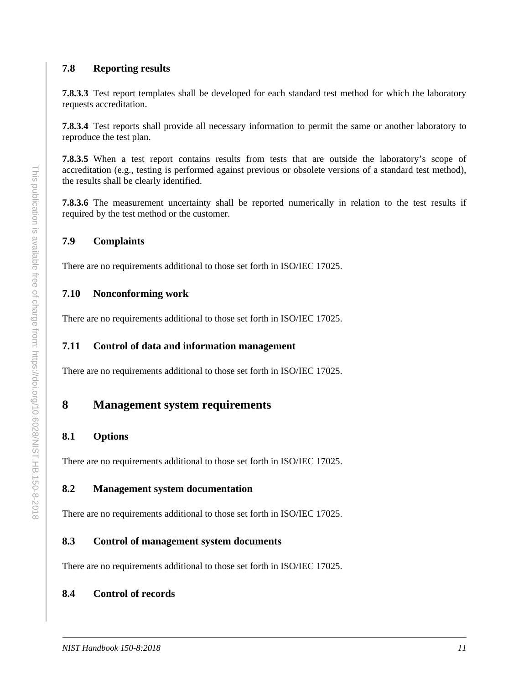#### <span id="page-18-0"></span>**7.8 Reporting results**

**7.8.3.3** Test report templates shall be developed for each standard test method for which the laboratory requests accreditation.

**7.8.3.4** Test reports shall provide all necessary information to permit the same or another laboratory to reproduce the test plan.

**7.8.3.5** When a test report contains results from tests that are outside the laboratory's scope of accreditation (e.g., testing is performed against previous or obsolete versions of a standard test method), the results shall be clearly identified.

**7.8.3.6** The measurement uncertainty shall be reported numerically in relation to the test results if required by the test method or the customer.

#### <span id="page-18-1"></span>**7.9 Complaints**

There are no requirements additional to those set forth in ISO/IEC 17025.

#### <span id="page-18-2"></span>**7.10 Nonconforming work**

There are no requirements additional to those set forth in ISO/IEC 17025.

#### <span id="page-18-3"></span>**7.11 Control of data and information management**

There are no requirements additional to those set forth in ISO/IEC 17025.

## <span id="page-18-4"></span>**8 Management system requirements**

#### <span id="page-18-5"></span>**8.1 Options**

There are no requirements additional to those set forth in ISO/IEC 17025.

#### <span id="page-18-6"></span>**8.2 Management system documentation**

There are no requirements additional to those set forth in ISO/IEC 17025.

#### <span id="page-18-7"></span>**8.3 Control of management system documents**

There are no requirements additional to those set forth in ISO/IEC 17025.

#### <span id="page-18-8"></span>**8.4 Control of records**